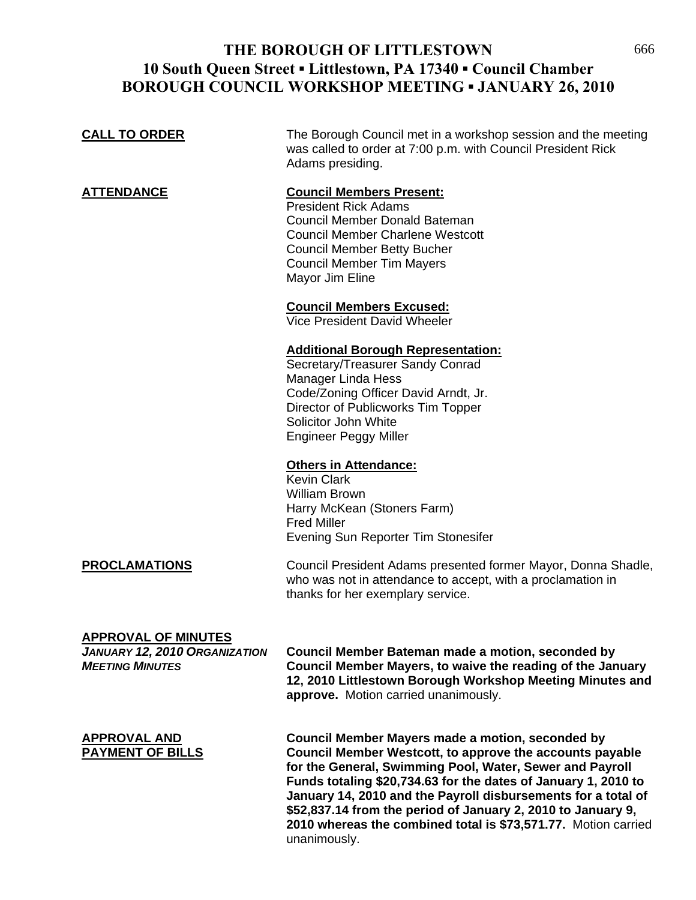# **THE BOROUGH OF LITTLESTOWN** 666 **10 South Queen Street ▪ Littlestown, PA 17340 ▪ Council Chamber BOROUGH COUNCIL WORKSHOP MEETING ▪ JANUARY 26, 2010**

| <b>CALL TO ORDER</b>                                                                         | The Borough Council met in a workshop session and the meeting<br>was called to order at 7:00 p.m. with Council President Rick<br>Adams presiding.                                                                                         |
|----------------------------------------------------------------------------------------------|-------------------------------------------------------------------------------------------------------------------------------------------------------------------------------------------------------------------------------------------|
| <b>ATTENDANCE</b>                                                                            | <b>Council Members Present:</b><br><b>President Rick Adams</b><br>Council Member Donald Bateman<br><b>Council Member Charlene Westcott</b><br><b>Council Member Betty Bucher</b><br><b>Council Member Tim Mayers</b><br>Mayor Jim Eline   |
|                                                                                              | <b>Council Members Excused:</b><br>Vice President David Wheeler                                                                                                                                                                           |
|                                                                                              | <b>Additional Borough Representation:</b><br>Secretary/Treasurer Sandy Conrad<br>Manager Linda Hess<br>Code/Zoning Officer David Arndt, Jr.<br>Director of Publicworks Tim Topper<br>Solicitor John White<br><b>Engineer Peggy Miller</b> |
|                                                                                              | <b>Others in Attendance:</b><br><b>Kevin Clark</b><br><b>William Brown</b><br>Harry McKean (Stoners Farm)<br><b>Fred Miller</b><br>Evening Sun Reporter Tim Stonesifer                                                                    |
| <b>PROCLAMATIONS</b>                                                                         | Council President Adams presented former Mayor, Donna Shadle,<br>who was not in attendance to accept, with a proclamation in<br>thanks for her exemplary service.                                                                         |
| <b>APPROVAL OF MINUTES</b><br><b>JANUARY 12, 2010 ORGANIZATION</b><br><b>MEETING MINUTES</b> | Council Member Bateman made a motion, seconded by<br>Council Member Mayers, to waive the reading of the January                                                                                                                           |

**12, 2010 Littlestown Borough Workshop Meeting Minutes and approve.** Motion carried unanimously.

**APPROVAL AND Council Member Mayers made a motion, seconded by PAYMENT OF BILLS Council Member Westcott, to approve the accounts payable for the General, Swimming Pool, Water, Sewer and Payroll Funds totaling \$20,734.63 for the dates of January 1, 2010 to January 14, 2010 and the Payroll disbursements for a total of \$52,837.14 from the period of January 2, 2010 to January 9, 2010 whereas the combined total is \$73,571.77.** Motion carried unanimously.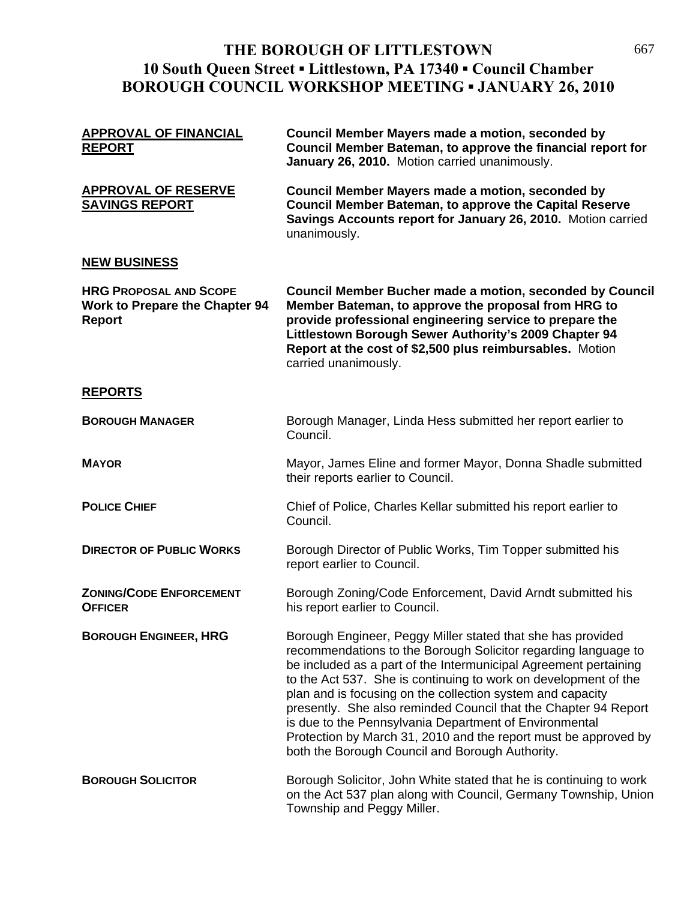# **THE BOROUGH OF LITTLESTOWN** 667 **10 South Queen Street ▪ Littlestown, PA 17340 ▪ Council Chamber BOROUGH COUNCIL WORKSHOP MEETING ▪ JANUARY 26, 2010**

| <b>APPROVAL OF FINANCIAL</b><br><b>REPORT</b>                                    | Council Member Mayers made a motion, seconded by<br>Council Member Bateman, to approve the financial report for<br>January 26, 2010. Motion carried unanimously.                                                                                                                                                                                                                                                                                                                                                                                                                      |
|----------------------------------------------------------------------------------|---------------------------------------------------------------------------------------------------------------------------------------------------------------------------------------------------------------------------------------------------------------------------------------------------------------------------------------------------------------------------------------------------------------------------------------------------------------------------------------------------------------------------------------------------------------------------------------|
| <b>APPROVAL OF RESERVE</b><br><b>SAVINGS REPORT</b>                              | <b>Council Member Mayers made a motion, seconded by</b><br><b>Council Member Bateman, to approve the Capital Reserve</b><br>Savings Accounts report for January 26, 2010. Motion carried<br>unanimously.                                                                                                                                                                                                                                                                                                                                                                              |
| <b>NEW BUSINESS</b>                                                              |                                                                                                                                                                                                                                                                                                                                                                                                                                                                                                                                                                                       |
| <b>HRG PROPOSAL AND SCOPE</b><br><b>Work to Prepare the Chapter 94</b><br>Report | <b>Council Member Bucher made a motion, seconded by Council</b><br>Member Bateman, to approve the proposal from HRG to<br>provide professional engineering service to prepare the<br>Littlestown Borough Sewer Authority's 2009 Chapter 94<br>Report at the cost of \$2,500 plus reimbursables. Motion<br>carried unanimously.                                                                                                                                                                                                                                                        |
| <b>REPORTS</b>                                                                   |                                                                                                                                                                                                                                                                                                                                                                                                                                                                                                                                                                                       |
| <b>BOROUGH MANAGER</b>                                                           | Borough Manager, Linda Hess submitted her report earlier to<br>Council.                                                                                                                                                                                                                                                                                                                                                                                                                                                                                                               |
| <b>MAYOR</b>                                                                     | Mayor, James Eline and former Mayor, Donna Shadle submitted<br>their reports earlier to Council.                                                                                                                                                                                                                                                                                                                                                                                                                                                                                      |
| <b>POLICE CHIEF</b>                                                              | Chief of Police, Charles Kellar submitted his report earlier to<br>Council.                                                                                                                                                                                                                                                                                                                                                                                                                                                                                                           |
| <b>DIRECTOR OF PUBLIC WORKS</b>                                                  | Borough Director of Public Works, Tim Topper submitted his<br>report earlier to Council.                                                                                                                                                                                                                                                                                                                                                                                                                                                                                              |
| <b>ZONING/CODE ENFORCEMENT</b><br><b>OFFICER</b>                                 | Borough Zoning/Code Enforcement, David Arndt submitted his<br>his report earlier to Council.                                                                                                                                                                                                                                                                                                                                                                                                                                                                                          |
| <b>BOROUGH ENGINEER, HRG</b>                                                     | Borough Engineer, Peggy Miller stated that she has provided<br>recommendations to the Borough Solicitor regarding language to<br>be included as a part of the Intermunicipal Agreement pertaining<br>to the Act 537. She is continuing to work on development of the<br>plan and is focusing on the collection system and capacity<br>presently. She also reminded Council that the Chapter 94 Report<br>is due to the Pennsylvania Department of Environmental<br>Protection by March 31, 2010 and the report must be approved by<br>both the Borough Council and Borough Authority. |
| <b>BOROUGH SOLICITOR</b>                                                         | Borough Solicitor, John White stated that he is continuing to work<br>on the Act 537 plan along with Council, Germany Township, Union<br>Township and Peggy Miller.                                                                                                                                                                                                                                                                                                                                                                                                                   |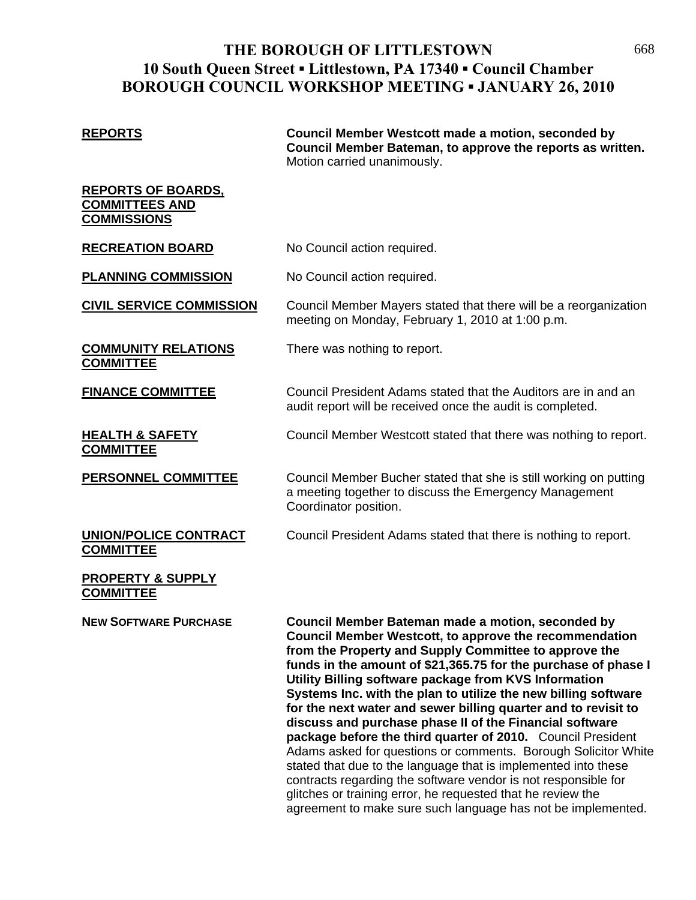## **THE BOROUGH OF LITTLESTOWN** 668 **10 South Queen Street ▪ Littlestown, PA 17340 ▪ Council Chamber BOROUGH COUNCIL WORKSHOP MEETING ▪ JANUARY 26, 2010**

**REPORTS Council Member Westcott made a motion, seconded by Council Member Bateman, to approve the reports as written.**  Motion carried unanimously.

### **REPORTS OF BOARDS, COMMITTEES AND COMMISSIONS**

## **RECREATION BOARD** No Council action required.

**PLANNING COMMISSION** No Council action required.

### **CIVIL SERVICE COMMISSION** Council Member Mayers stated that there will be a reorganization meeting on Monday, February 1, 2010 at 1:00 p.m.

**COMMUNITY RELATIONS** There was nothing to report.

**COMMITTEE**

**FINANCE COMMITTEE** Council President Adams stated that the Auditors are in and an

## **HEALTH & SAFETY** Council Member Westcott stated that there was nothing to report. **COMMITTEE**

**PERSONNEL COMMITTEE** Council Member Bucher stated that she is still working on putting a meeting together to discuss the Emergency Management Coordinator position.

**COMMITTEE**

**UNION/POLICE CONTRACT** Council President Adams stated that there is nothing to report.

audit report will be received once the audit is completed.

## **PROPERTY & SUPPLY COMMITTEE**

**NEW SOFTWARE PURCHASE Council Member Bateman made a motion, seconded by Council Member Westcott, to approve the recommendation from the Property and Supply Committee to approve the funds in the amount of \$21,365.75 for the purchase of phase I Utility Billing software package from KVS Information Systems Inc. with the plan to utilize the new billing software for the next water and sewer billing quarter and to revisit to discuss and purchase phase II of the Financial software package before the third quarter of 2010.** Council President Adams asked for questions or comments. Borough Solicitor White stated that due to the language that is implemented into these contracts regarding the software vendor is not responsible for glitches or training error, he requested that he review the agreement to make sure such language has not be implemented.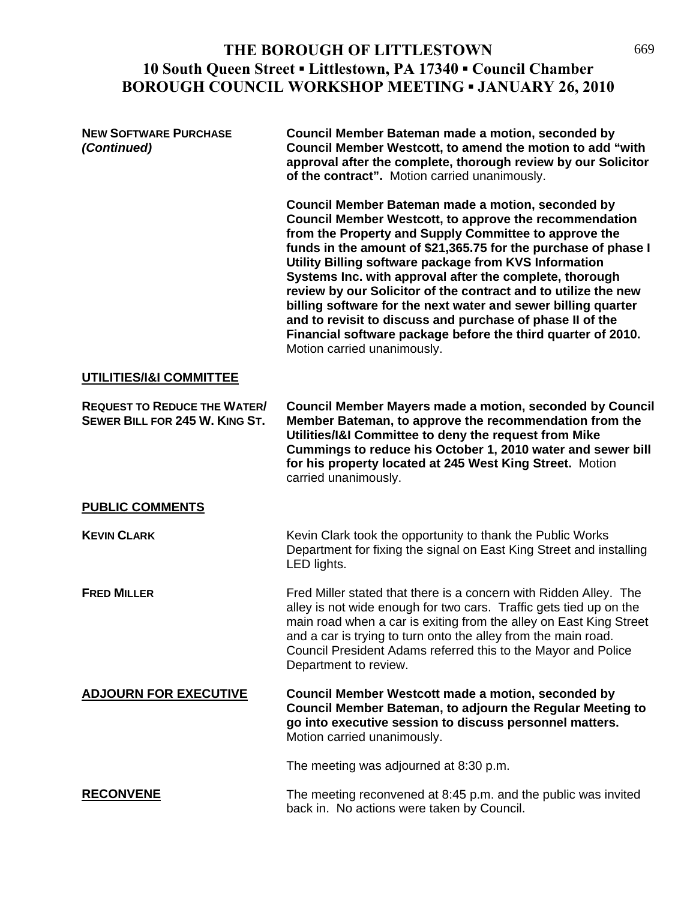# THE BOROUGH OF LITTLESTOWN 669 **10 South Queen Street ▪ Littlestown, PA 17340 ▪ Council Chamber BOROUGH COUNCIL WORKSHOP MEETING ▪ JANUARY 26, 2010**

| <b>NEW SOFTWARE PURCHASE</b><br>(Continued)                           | Council Member Bateman made a motion, seconded by<br>Council Member Westcott, to amend the motion to add "with<br>approval after the complete, thorough review by our Solicitor<br>of the contract". Motion carried unanimously.                                                                                                                                                                                                                                                                                                                                                                                                                          |
|-----------------------------------------------------------------------|-----------------------------------------------------------------------------------------------------------------------------------------------------------------------------------------------------------------------------------------------------------------------------------------------------------------------------------------------------------------------------------------------------------------------------------------------------------------------------------------------------------------------------------------------------------------------------------------------------------------------------------------------------------|
|                                                                       | Council Member Bateman made a motion, seconded by<br>Council Member Westcott, to approve the recommendation<br>from the Property and Supply Committee to approve the<br>funds in the amount of \$21,365.75 for the purchase of phase I<br>Utility Billing software package from KVS Information<br>Systems Inc. with approval after the complete, thorough<br>review by our Solicitor of the contract and to utilize the new<br>billing software for the next water and sewer billing quarter<br>and to revisit to discuss and purchase of phase II of the<br>Financial software package before the third quarter of 2010.<br>Motion carried unanimously. |
| <b>UTILITIES/I&amp;I COMMITTEE</b>                                    |                                                                                                                                                                                                                                                                                                                                                                                                                                                                                                                                                                                                                                                           |
| <b>REQUEST TO REDUCE THE WATER/</b><br>SEWER BILL FOR 245 W. KING ST. | <b>Council Member Mayers made a motion, seconded by Council</b><br>Member Bateman, to approve the recommendation from the<br>Utilities/I&I Committee to deny the request from Mike<br>Cummings to reduce his October 1, 2010 water and sewer bill<br>for his property located at 245 West King Street. Motion<br>carried unanimously.                                                                                                                                                                                                                                                                                                                     |
| <b>PUBLIC COMMENTS</b>                                                |                                                                                                                                                                                                                                                                                                                                                                                                                                                                                                                                                                                                                                                           |
| <b>KEVIN CLARK</b>                                                    | Kevin Clark took the opportunity to thank the Public Works<br>Department for fixing the signal on East King Street and installing<br>LED lights.                                                                                                                                                                                                                                                                                                                                                                                                                                                                                                          |
| <b>FRED MILLER</b>                                                    | Fred Miller stated that there is a concern with Ridden Alley. The<br>alley is not wide enough for two cars. Traffic gets tied up on the<br>main road when a car is exiting from the alley on East King Street<br>and a car is trying to turn onto the alley from the main road.<br>Council President Adams referred this to the Mayor and Police<br>Department to review.                                                                                                                                                                                                                                                                                 |
| <b>ADJOURN FOR EXECUTIVE</b>                                          | Council Member Westcott made a motion, seconded by<br>Council Member Bateman, to adjourn the Regular Meeting to<br>go into executive session to discuss personnel matters.<br>Motion carried unanimously.                                                                                                                                                                                                                                                                                                                                                                                                                                                 |
|                                                                       | The meeting was adjourned at 8:30 p.m.                                                                                                                                                                                                                                                                                                                                                                                                                                                                                                                                                                                                                    |
| <b>RECONVENE</b>                                                      | The meeting reconvened at 8:45 p.m. and the public was invited<br>back in. No actions were taken by Council.                                                                                                                                                                                                                                                                                                                                                                                                                                                                                                                                              |